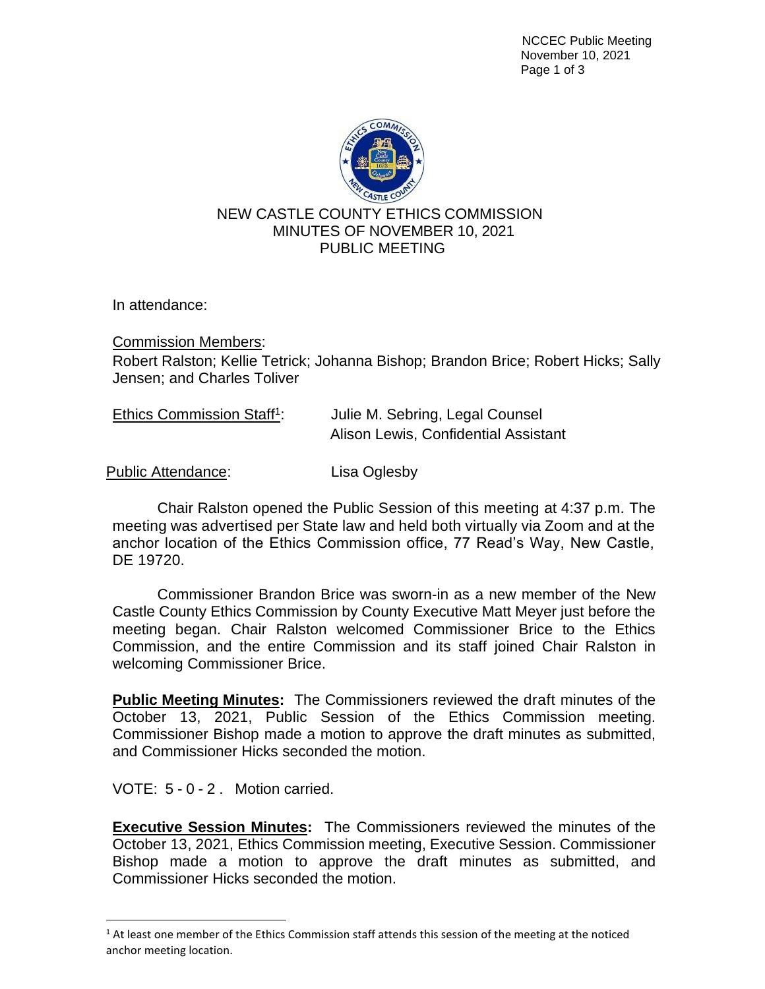NCCEC Public Meeting November 10, 2021 Page 1 of 3



In attendance:

Commission Members: Robert Ralston; Kellie Tetrick; Johanna Bishop; Brandon Brice; Robert Hicks; Sally Jensen; and Charles Toliver

| Ethics Commission Staff <sup>1</sup> : | Julie M. Sebring, Legal Counsel      |
|----------------------------------------|--------------------------------------|
|                                        | Alison Lewis, Confidential Assistant |

Public Attendance: Lisa Oglesby

Chair Ralston opened the Public Session of this meeting at 4:37 p.m. The meeting was advertised per State law and held both virtually via Zoom and at the anchor location of the Ethics Commission office, 77 Read's Way, New Castle, DE 19720.

Commissioner Brandon Brice was sworn-in as a new member of the New Castle County Ethics Commission by County Executive Matt Meyer just before the meeting began. Chair Ralston welcomed Commissioner Brice to the Ethics Commission, and the entire Commission and its staff joined Chair Ralston in welcoming Commissioner Brice.

**Public Meeting Minutes:** The Commissioners reviewed the draft minutes of the October 13, 2021, Public Session of the Ethics Commission meeting. Commissioner Bishop made a motion to approve the draft minutes as submitted, and Commissioner Hicks seconded the motion.

VOTE: 5 - 0 - 2 . Motion carried.

**Executive Session Minutes:** The Commissioners reviewed the minutes of the October 13, 2021, Ethics Commission meeting, Executive Session. Commissioner Bishop made a motion to approve the draft minutes as submitted, and Commissioner Hicks seconded the motion.

 $1$  At least one member of the Ethics Commission staff attends this session of the meeting at the noticed anchor meeting location.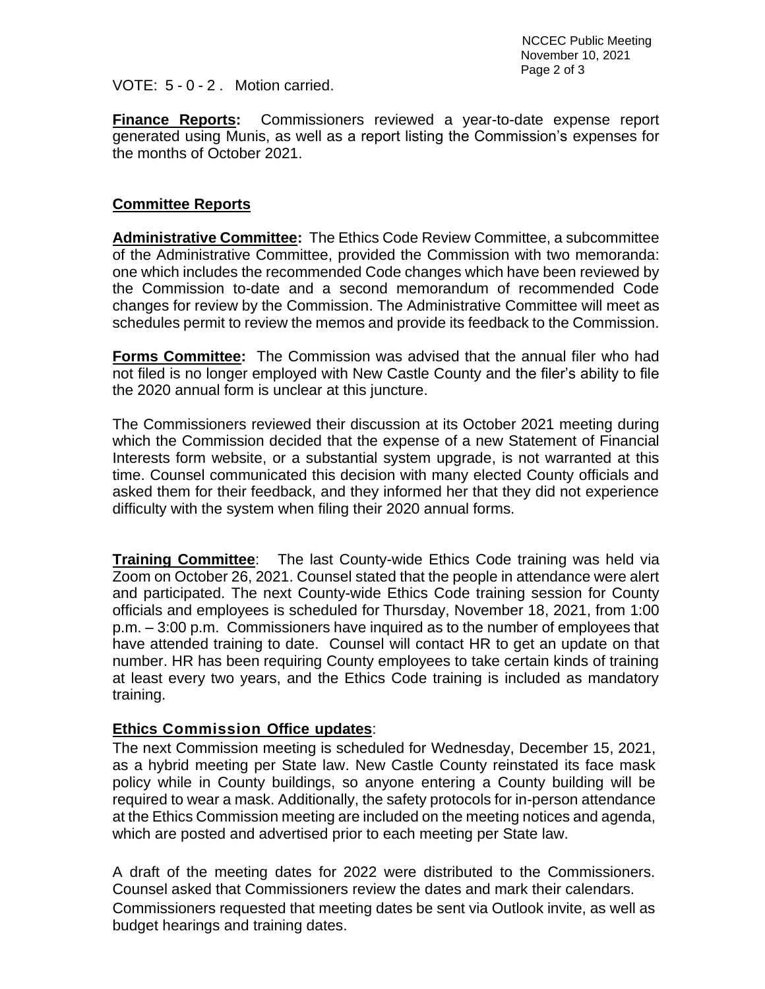VOTE: 5 - 0 - 2 . Motion carried.

**Finance Reports:** Commissioners reviewed a year-to-date expense report generated using Munis, as well as a report listing the Commission's expenses for the months of October 2021.

## **Committee Reports**

**Administrative Committee:** The Ethics Code Review Committee, a subcommittee of the Administrative Committee, provided the Commission with two memoranda: one which includes the recommended Code changes which have been reviewed by the Commission to-date and a second memorandum of recommended Code changes for review by the Commission. The Administrative Committee will meet as schedules permit to review the memos and provide its feedback to the Commission.

**Forms Committee:** The Commission was advised that the annual filer who had not filed is no longer employed with New Castle County and the filer's ability to file the 2020 annual form is unclear at this juncture.

The Commissioners reviewed their discussion at its October 2021 meeting during which the Commission decided that the expense of a new Statement of Financial Interests form website, or a substantial system upgrade, is not warranted at this time. Counsel communicated this decision with many elected County officials and asked them for their feedback, and they informed her that they did not experience difficulty with the system when filing their 2020 annual forms.

**Training Committee**: The last County-wide Ethics Code training was held via Zoom on October 26, 2021. Counsel stated that the people in attendance were alert and participated. The next County-wide Ethics Code training session for County officials and employees is scheduled for Thursday, November 18, 2021, from 1:00 p.m. – 3:00 p.m. Commissioners have inquired as to the number of employees that have attended training to date. Counsel will contact HR to get an update on that number. HR has been requiring County employees to take certain kinds of training at least every two years, and the Ethics Code training is included as mandatory training.

## **Ethics Commission Office updates**:

The next Commission meeting is scheduled for Wednesday, December 15, 2021, as a hybrid meeting per State law. New Castle County reinstated its face mask policy while in County buildings, so anyone entering a County building will be required to wear a mask. Additionally, the safety protocols for in-person attendance at the Ethics Commission meeting are included on the meeting notices and agenda, which are posted and advertised prior to each meeting per State law.

A draft of the meeting dates for 2022 were distributed to the Commissioners. Counsel asked that Commissioners review the dates and mark their calendars. Commissioners requested that meeting dates be sent via Outlook invite, as well as budget hearings and training dates.